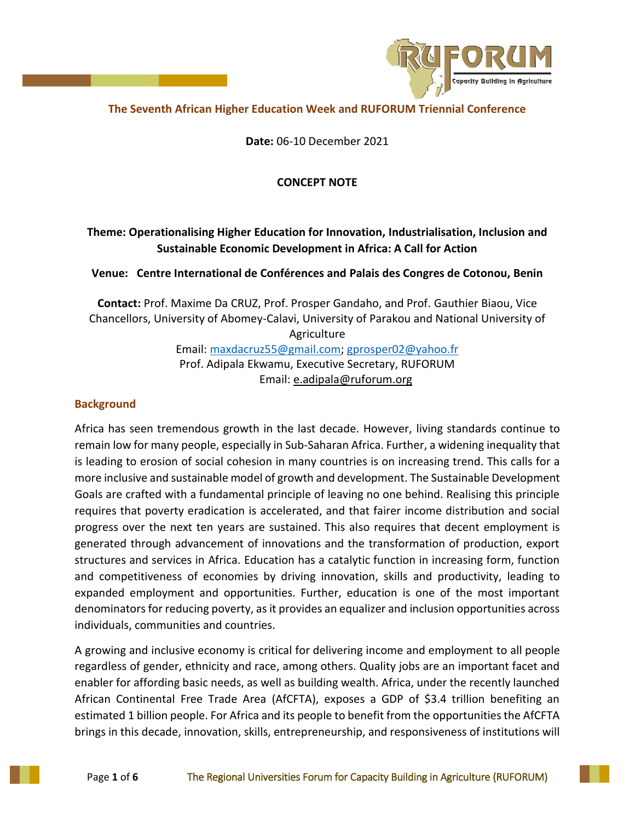

# **The Seventh African Higher Education Week and RUFORUM Triennial Conference**

**Date:** 06-10 December 2021

# **CONCEPT NOTE**

# **Theme: Operationalising Higher Education for Innovation, Industrialisation, Inclusion and Sustainable Economic Development in Africa: A Call for Action**

**Venue: Centre International de Conférences and Palais des Congres de Cotonou, Benin**

**Contact:** Prof. Maxime Da CRUZ, Prof. Prosper Gandaho, and Prof. Gauthier Biaou, Vice Chancellors, University of Abomey-Calavi, University of Parakou and National University of Agriculture Email: [maxdacruz55@gmail.com;](mailto:maxdacruz55@gmail.com) [gprosper02@yahoo.fr](mailto:gprosper02@yahoo.fr) Prof. Adipala Ekwamu, Executive Secretary, RUFORUM Email: [e.adipala@ruforum.org](mailto:e.adipala@ruforum.org)

# **Background**

Africa has seen tremendous growth in the last decade. However, living standards continue to remain low for many people, especially in Sub-Saharan Africa. Further, a widening inequality that is leading to erosion of social cohesion in many countries is on increasing trend. This calls for a more inclusive and sustainable model of growth and development. The Sustainable Development Goals are crafted with a fundamental principle of leaving no one behind. Realising this principle requires that poverty eradication is accelerated, and that fairer income distribution and social progress over the next ten years are sustained. This also requires that decent employment is generated through advancement of innovations and the transformation of production, export structures and services in Africa. Education has a catalytic function in increasing form, function and competitiveness of economies by driving innovation, skills and productivity, leading to expanded employment and opportunities. Further, education is one of the most important denominators for reducing poverty, as it provides an equalizer and inclusion opportunities across individuals, communities and countries.

A growing and inclusive economy is critical for delivering income and employment to all people regardless of gender, ethnicity and race, among others. Quality jobs are an important facet and enabler for affording basic needs, as well as building wealth. Africa, under the recently launched African Continental Free Trade Area (AfCFTA), exposes a GDP of \$3.4 trillion benefiting an estimated 1 billion people. For Africa and its people to benefit from the opportunities the AfCFTA brings in this decade, innovation, skills, entrepreneurship, and responsiveness of institutions will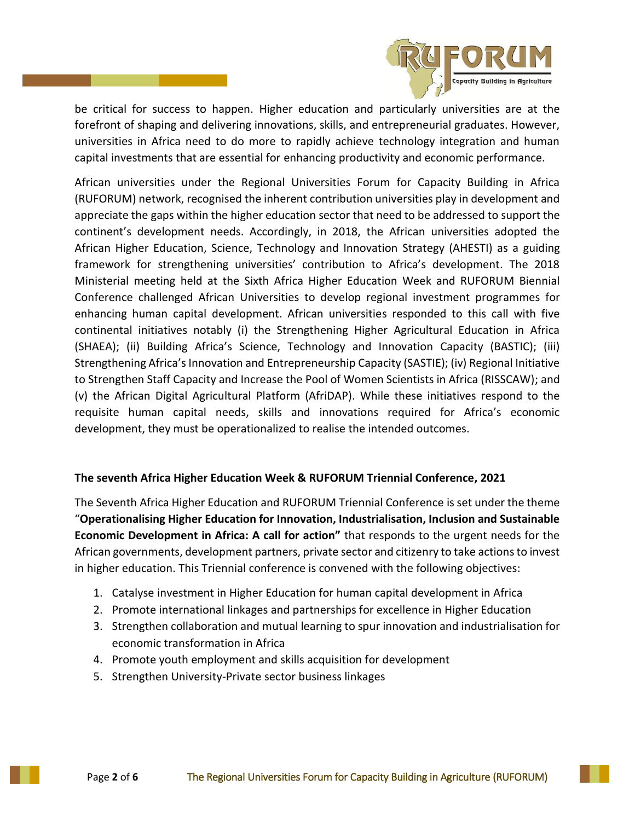

be critical for success to happen. Higher education and particularly universities are at the forefront of shaping and delivering innovations, skills, and entrepreneurial graduates. However, universities in Africa need to do more to rapidly achieve technology integration and human capital investments that are essential for enhancing productivity and economic performance.

African universities under the Regional Universities Forum for Capacity Building in Africa (RUFORUM) network, recognised the inherent contribution universities play in development and appreciate the gaps within the higher education sector that need to be addressed to support the continent's development needs. Accordingly, in 2018, the African universities adopted the African Higher Education, Science, Technology and Innovation Strategy (AHESTI) as a guiding framework for strengthening universities' contribution to Africa's development. The 2018 Ministerial meeting held at the Sixth Africa Higher Education Week and RUFORUM Biennial Conference challenged African Universities to develop regional investment programmes for enhancing human capital development. African universities responded to this call with five continental initiatives notably (i) the Strengthening Higher Agricultural Education in Africa (SHAEA); (ii) Building Africa's Science, Technology and Innovation Capacity (BASTIC); (iii) Strengthening Africa's Innovation and Entrepreneurship Capacity (SASTIE); (iv) Regional Initiative to Strengthen Staff Capacity and Increase the Pool of Women Scientists in Africa (RISSCAW); and (v) the African Digital Agricultural Platform (AfriDAP). While these initiatives respond to the requisite human capital needs, skills and innovations required for Africa's economic development, they must be operationalized to realise the intended outcomes.

# **The seventh Africa Higher Education Week & RUFORUM Triennial Conference, 2021**

The Seventh Africa Higher Education and RUFORUM Triennial Conference is set under the theme "**Operationalising Higher Education for Innovation, Industrialisation, Inclusion and Sustainable Economic Development in Africa: A call for action"** that responds to the urgent needs for the African governments, development partners, private sector and citizenry to take actions to invest in higher education. This Triennial conference is convened with the following objectives:

- 1. Catalyse investment in Higher Education for human capital development in Africa
- 2. Promote international linkages and partnerships for excellence in Higher Education
- 3. Strengthen collaboration and mutual learning to spur innovation and industrialisation for economic transformation in Africa
- 4. Promote youth employment and skills acquisition for development
- 5. Strengthen University-Private sector business linkages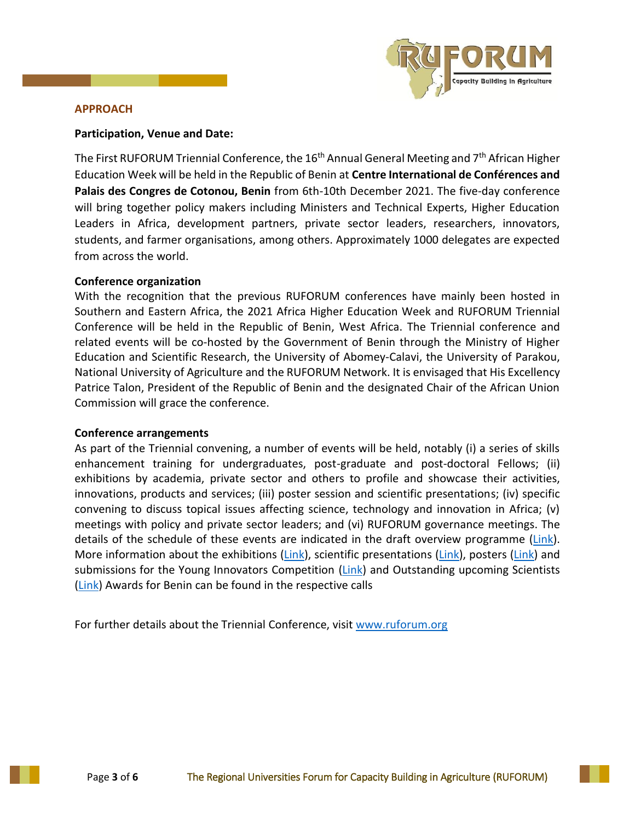

#### **APPROACH**

## **Participation, Venue and Date:**

The First RUFORUM Triennial Conference, the  $16<sup>th</sup>$  Annual General Meeting and  $7<sup>th</sup>$  African Higher Education Week will be held in the Republic of Benin at **Centre International de Conférences and Palais des Congres de Cotonou, Benin** from 6th-10th December 2021. The five-day conference will bring together policy makers including Ministers and Technical Experts, Higher Education Leaders in Africa, development partners, private sector leaders, researchers, innovators, students, and farmer organisations, among others. Approximately 1000 delegates are expected from across the world.

## **Conference organization**

With the recognition that the previous RUFORUM conferences have mainly been hosted in Southern and Eastern Africa, the 2021 Africa Higher Education Week and RUFORUM Triennial Conference will be held in the Republic of Benin, West Africa. The Triennial conference and related events will be co-hosted by the Government of Benin through the Ministry of Higher Education and Scientific Research, the University of Abomey-Calavi, the University of Parakou, National University of Agriculture and the RUFORUM Network. It is envisaged that His Excellency Patrice Talon, President of the Republic of Benin and the designated Chair of the African Union Commission will grace the conference.

### **Conference arrangements**

As part of the Triennial convening, a number of events will be held, notably (i) a series of skills enhancement training for undergraduates, post-graduate and post-doctoral Fellows; (ii) exhibitions by academia, private sector and others to profile and showcase their activities, innovations, products and services; (iii) poster session and scientific presentations; (iv) specific convening to discuss topical issues affecting science, technology and innovation in Africa; (v) meetings with policy and private sector leaders; and (vi) RUFORUM governance meetings. The details of the schedule of these events are indicated in the draft overview programme  $(\text{Link})$ . More information about the exhibitions [\(Link\)](https://www.ruforum.org/sites/default/files/Call%20for%20Posters_Triennial%202021-17%20Aug%202020.pdf), scientific presentations (Link), posters (Link) and submissions for the Young Innovators Competition [\(Link\)](https://ruforum.files.wordpress.com/2020/07/precall_announcement_young-innovators2021.pdf) and Outstanding upcoming Scientists [\(Link\)](https://ruforum.wordpress.com/2020/07/12/precall-announcement-for-ruforum-young-scientists-award-ysa/) Awards for Benin can be found in the respective calls

For further details about the Triennial Conference, visit [www.ruforum.org](http://www.ruforum.org/)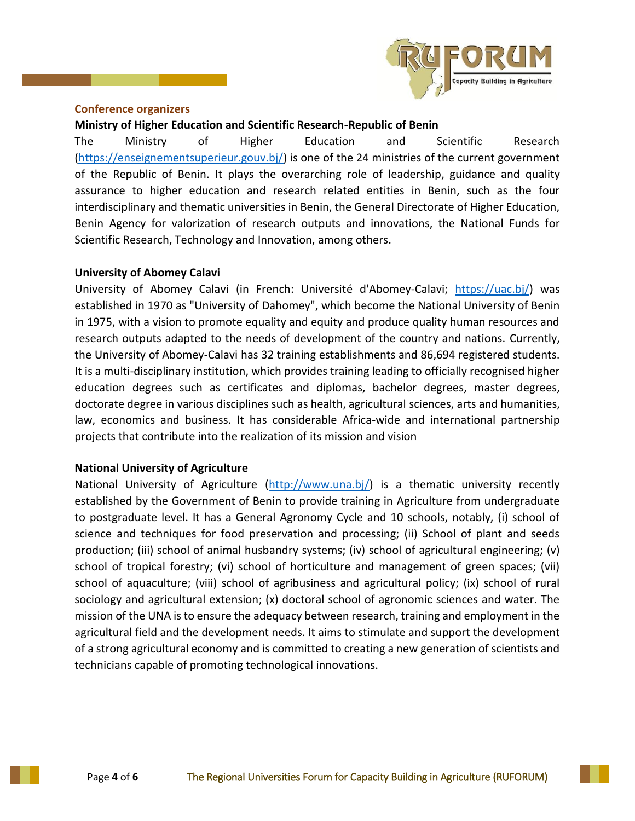

#### **Conference organizers**

## **Ministry of Higher Education and Scientific Research-Republic of Benin**

The Ministry of Higher Education and Scientific Research [\(https://enseignementsuperieur.gouv.bj/\)](https://enseignementsuperieur.gouv.bj/) is one of the 24 ministries of the current government of the Republic of Benin. It plays the overarching role of leadership, guidance and quality assurance to higher education and research related entities in Benin, such as the four interdisciplinary and thematic universities in Benin, the General Directorate of Higher Education, Benin Agency for valorization of research outputs and innovations, the National Funds for Scientific Research, Technology and Innovation, among others.

### **University of Abomey Calavi**

University of Abomey Calavi (in French: Université d'Abomey-Calavi; [https://uac.bj/\)](https://uac.bj/) was established in 1970 as "University of Dahomey", which become the National University of Benin in 1975, with a vision to promote equality and equity and produce quality human resources and research outputs adapted to the needs of development of the country and nations. Currently, the University of Abomey-Calavi has 32 training establishments and 86,694 registered students. It is a multi-disciplinary institution, which provides training leading to officially recognised higher education degrees such as certificates and diplomas, bachelor degrees, master degrees, doctorate degree in various disciplines such as health, agricultural sciences, arts and humanities, law, economics and business. It has considerable Africa-wide and international partnership projects that contribute into the realization of its mission and vision

# **National University of Agriculture**

National University of Agriculture [\(http://www.una.bj/\)](http://www.una.bj/) is a thematic university recently established by the Government of Benin to provide training in Agriculture from undergraduate to postgraduate level. It has a General Agronomy Cycle and 10 schools, notably, (i) school of science and techniques for food preservation and processing; (ii) School of plant and seeds production; (iii) school of animal husbandry systems; (iv) school of agricultural engineering; (v) school of tropical forestry; (vi) school of horticulture and management of green spaces; (vii) school of aquaculture; (viii) school of agribusiness and agricultural policy; (ix) school of rural sociology and agricultural extension; (x) doctoral school of agronomic sciences and water. The mission of the UNA is to ensure the adequacy between research, training and employment in the agricultural field and the development needs. It aims to stimulate and support the development of a strong agricultural economy and is committed to creating a new generation of scientists and technicians capable of promoting technological innovations.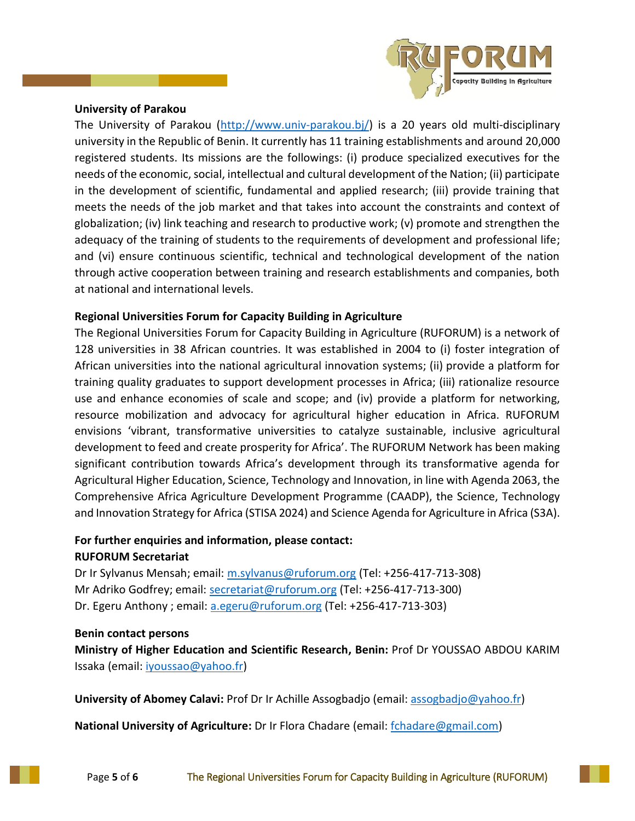

## **University of Parakou**

The University of Parakou [\(http://www.univ-parakou.bj/\)](http://www.univ-parakou.bj/) is a 20 years old multi-disciplinary university in the Republic of Benin. It currently has 11 training establishments and around 20,000 registered students. Its missions are the followings: (i) produce specialized executives for the needs of the economic, social, intellectual and cultural development of the Nation; (ii) participate in the development of scientific, fundamental and applied research; (iii) provide training that meets the needs of the job market and that takes into account the constraints and context of globalization; (iv) link teaching and research to productive work; (v) promote and strengthen the adequacy of the training of students to the requirements of development and professional life; and (vi) ensure continuous scientific, technical and technological development of the nation through active cooperation between training and research establishments and companies, both at national and international levels.

# **Regional Universities Forum for Capacity Building in Agriculture**

The Regional Universities Forum for Capacity Building in Agriculture (RUFORUM) is a network of 128 universities in 38 African countries. It was established in 2004 to (i) foster integration of African universities into the national agricultural innovation systems; (ii) provide a platform for training quality graduates to support development processes in Africa; (iii) rationalize resource use and enhance economies of scale and scope; and (iv) provide a platform for networking, resource mobilization and advocacy for agricultural higher education in Africa. RUFORUM envisions 'vibrant, transformative universities to catalyze sustainable, inclusive agricultural development to feed and create prosperity for Africa'. The RUFORUM Network has been making significant contribution towards Africa's development through its transformative agenda for Agricultural Higher Education, Science, Technology and Innovation, in line with Agenda 2063, the Comprehensive Africa Agriculture Development Programme (CAADP), the Science, Technology and Innovation Strategy for Africa (STISA 2024) and Science Agenda for Agriculture in Africa (S3A).

## **For further enquiries and information, please contact: RUFORUM Secretariat**

Dr Ir Sylvanus Mensah; email: [m.sylvanus@ruforum.org](mailto:m.sylvanus@ruforum.org) (Tel: +256-417-713-308) Mr Adriko Godfrey; email: [secretariat@ruforum.org](mailto:secretariat@ruforum.org) (Tel: +256-417-713-300) Dr. Egeru Anthony ; email: [a.egeru@ruforum.org](mailto:a.egeru@ruforum.org) (Tel: +256-417-713-303)

### **Benin contact persons**

**Ministry of Higher Education and Scientific Research, Benin:** Prof Dr YOUSSAO ABDOU KARIM Issaka (email: [iyoussao@yahoo.fr\)](mailto:iyoussao@yahoo.fr)

**University of Abomey Calavi:** Prof Dr Ir Achille Assogbadjo (email: [assogbadjo@yahoo.fr\)](mailto:assogbadjo@yahoo.fr)

**National University of Agriculture:** Dr Ir Flora Chadare (email: [fchadare@gmail.com\)](mailto:fchadare@gmail.com)